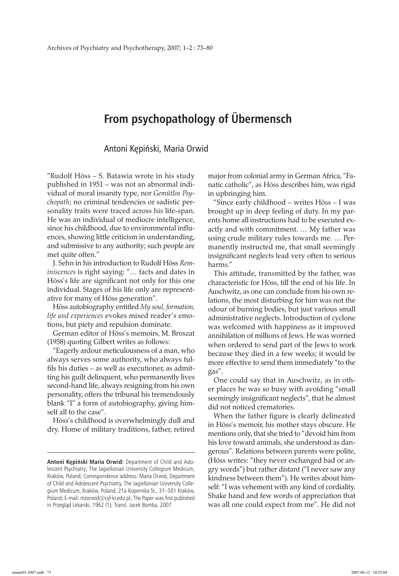## **From psychopathology of Übermensch**

Antoni Kępiński, Maria Orwid

"Rudolf Höss – S. Batawia wrote in his study published in 1951 – was not an abnormal individual of moral insanity type, nor *Gemütlos Psychopath*; no criminal tendencies or sadistic personality traits were traced across his life-span. He was an individual of mediocre intelligence, since his childhood, due to environmental influences, showing little criticism in understanding, and submissive to any authority; such people are met quite often."

J. Sehn in his introduction to Rudolf Höss *Reminiscences* is right saying: "… facts and dates in Höss's life are significant not only for this one individual. Stages of his life only are representative for many of Höss generation".

Höss autobiography entitled *My soul, formation, life and experiences* evokes mixed reader's emotions, but piety and repulsion dominate.

German editor of Höss's memoirs, M. Broszat (1958) quoting Gilbert writes as follows:

"Eagerly ardour meticulousness of a man, who always serves some authority, who always fulfils his duties – as well as executioner, as admitting his guilt delinquent, who permanently lives second-hand life, always resigning from his own personality, offers the tribunal his tremendously blank "I" a form of autobiography, giving himself all to the case".

Höss's childhood is overwhelmingly dull and dry. Home of military traditions, father, retired major from colonial army in German Africa, "Fanatic catholic", as Höss describes him, was rigid in upbringing him.

"Since early childhood – writes Höss – I was brought up in deep feeling of duty. In my parents home all instructions had to be executed exactly and with commitment. … My father was using crude military rules towards me. … Permanently instructed me, that small seemingly insignificant neglects lead very often to serious harms."

This attitude, transmitted by the father, was characteristic for Höss, till the end of his life. In Auschwitz, as one can conclude from his own relations, the most disturbing for him was not the odour of burning bodies, but just various small administrative neglects. Introduction of cyclone was welcomed with happiness as it improved annihilation of millions of Jews. He was worried when ordered to send part of the Jews to work because they died in a few weeks; it would be more effective to send them immediately "to the gas".

One could say that in Auschwitz, as in other places he was so busy with avoiding "small seemingly insignificant neglects", that he almost did not noticed crematories.

When the father figure is clearly delineated in Höss's memoir, his mother stays obscure. He mentions only, that she tried to "devoid him from his love toward animals, she understood as dangerous". Relations between parents were polite, (Höss writes: "they never exchanged bad or angry words") but rather distant ("I never saw any kindness between them"). He writes about himself: "I was vehement with any kind of cordiality. Shake hand and few words of appreciation that was all one could expect from me". He did not

**Antoni Kępiński Maria Orwid:** Department of Child and Adolescent Psychiatry; The Jagiellonian University Collegium Medicum, Kraków, Poland; Correspondence address: Maria Orwid, Department of Child and Adolescent Psychiatry, The Jagiellonian University Collegium Medicum, Kraków, Poland, 21a Kopernika St., 31–501 Kraków, Poland; E-mail: mzorwid@cyf-kr.edu.pl; The Paper was first published in Przegląd Lekarski, 1962 (1); Transl. Jacek Bomba, 2007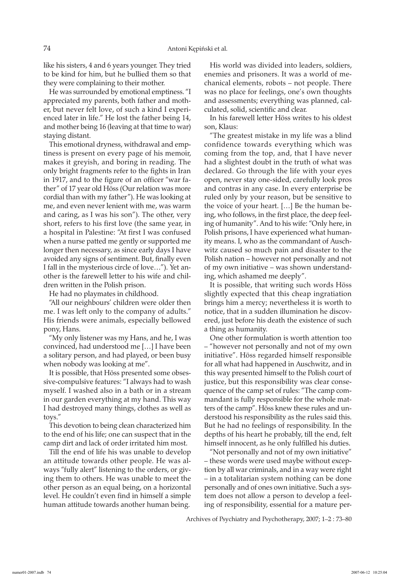like his sisters, 4 and 6 years younger. They tried to be kind for him, but he bullied them so that they were complaining to their mother.

He was surrounded by emotional emptiness. "I appreciated my parents, both father and mother, but never felt love, of such a kind I experienced later in life." He lost the father being 14, and mother being 16 (leaving at that time to war) staying distant.

This emotional dryness, withdrawal and emptiness is present on every page of his memoir, makes it greyish, and boring in reading. The only bright fragments refer to the fights in Iran in 1917, and to the figure of an officer "war father" of 17 year old Höss (Our relation was more cordial than with my father"). He was looking at me, and even never lenient with me, was warm and caring, as I was his son"). The other, very short, refers to his first love (the same year, in a hospital in Palestine: "At first I was confused when a nurse patted me gently or supported me longer then necessary, as since early days I have avoided any signs of sentiment. But, finally even I fall in the mysterious circle of love…"). Yet another is the farewell letter to his wife and children written in the Polish prison.

He had no playmates in childhood.

"All our neighbours' children were older then me. I was left only to the company of adults." His friends were animals, especially bellowed pony, Hans.

"My only listener was my Hans, and he, I was convinced, had understood me […] I have been a solitary person, and had played, or been busy when nobody was looking at me".

It is possible, that Höss presented some obsessive-compulsive features: "I always had to wash myself. I washed also in a bath or in a stream in our garden everything at my hand. This way I had destroyed many things, clothes as well as toys."

This devotion to being clean characterized him to the end of his life; one can suspect that in the camp dirt and lack of order irritated him most.

Till the end of life his was unable to develop an attitude towards other people. He was always "fully alert" listening to the orders, or giving them to others. He was unable to meet the other person as an equal being, on a horizontal level. He couldn't even find in himself a simple human attitude towards another human being.

His world was divided into leaders, soldiers, enemies and prisoners. It was a world of mechanical elements, robots – not people. There was no place for feelings, one's own thoughts and assessments; everything was planned, calculated, solid, scientific and clear.

In his farewell letter Höss writes to his oldest son, Klaus:

"The greatest mistake in my life was a blind confidence towards everything which was coming from the top, and, that I have never had a slightest doubt in the truth of what was declared. Go through the life with your eyes open, never stay one-sided, carefully look pros and contras in any case. In every enterprise be ruled only by your reason, but be sensitive to the voice of your heart. […] Be the human being, who follows, in the first place, the deep feeling of humanity". And to his wife: "Only here, in Polish prisons, I have experienced what humanity means. I, who as the commandant of Auschwitz caused so much pain and disaster to the Polish nation – however not personally and not of my own initiative – was shown understanding, which ashamed me deeply".

It is possible, that writing such words Höss slightly expected that this cheap ingratiation brings him a mercy; nevertheless it is worth to notice, that in a sudden illumination he discovered, just before his death the existence of such a thing as humanity.

One other formulation is worth attention too – "however not personally and not of my own initiative". Höss regarded himself responsible for all what had happened in Auschwitz, and in this way presented himself to the Polish court of justice, but this responsibility was clear consequence of the camp set of rules: "The camp commandant is fully responsible for the whole matters of the camp". Höss knew these rules and understood his responsibility as the rules said this. But he had no feelings of responsibility. In the depths of his heart he probably, till the end, felt himself innocent, as he only fulfilled his duties.

"Not personally and not of my own initiative" – these words were used maybe without exception by all war criminals, and in a way were right – in a totalitarian system nothing can be done personally and of ones own initiative. Such a system does not allow a person to develop a feeling of responsibility, essential for a mature per-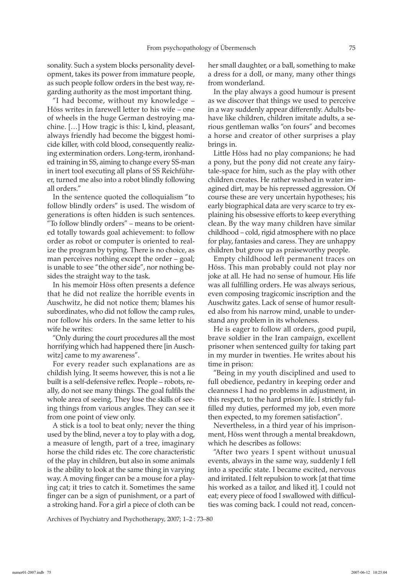sonality. Such a system blocks personality development, takes its power from immature people, as such people follow orders in the best way, regarding authority as the most important thing.

"I had become, without my knowledge – Höss writes in farewell letter to his wife – one of wheels in the huge German destroying machine. […] How tragic is this: I, kind, pleasant, always friendly had become the biggest homicide killer, with cold blood, consequently realizing extermination orders. Long-term, ironhanded training in SS, aiming to change every SS-man in inert tool executing all plans of SS Reichführer, turned me also into a robot blindly following all orders."

In the sentence quoted the colloquialism "to follow blindly orders" is used. The wisdom of generations is often hidden is such sentences. "To follow blindly orders" – means to be oriented totally towards goal achievement: to follow order as robot or computer is oriented to realize the program by typing. There is no choice, as man perceives nothing except the order – goal; is unable to see "the other side", nor nothing besides the straight way to the task.

In his memoir Höss often presents a defence that he did not realize the horrible events in Auschwitz, he did not notice them; blames his subordinates, who did not follow the camp rules, nor follow his orders. In the same letter to his wife he writes:

"Only during the court procedures all the most horrifying which had happened there [in Auschwitz] came to my awareness".

For every reader such explanations are as childish lying. It seems however, this is not a lie built is a self-defensive reflex. People – robots, really, do not see many things. The goal fulfils the whole area of seeing. They lose the skills of seeing things from various angles. They can see it from one point of view only.

A stick is a tool to beat only; never the thing used by the blind, never a toy to play with a dog, a measure of length, part of a tree, imaginary horse the child rides etc. The core characteristic of the play in children, but also in some animals is the ability to look at the same thing in varying way. A moving finger can be a mouse for a playing cat; it tries to catch it. Sometimes the same finger can be a sign of punishment, or a part of a stroking hand. For a girl a piece of cloth can be her small daughter, or a ball, something to make a dress for a doll, or many, many other things from wonderland.

In the play always a good humour is present as we discover that things we used to perceive in a way suddenly appear differently. Adults behave like children, children imitate adults, a serious gentleman walks "on fours" and becomes a horse and creator of other surprises a play brings in.

Little Höss had no play companions; he had a pony, but the pony did not create any fairytale-space for him, such as the play with other children creates. He rather washed in water imagined dirt, may be his repressed aggression. Of course these are very uncertain hypotheses; his early biographical data are very scarce to try explaining his obsessive efforts to keep everything clean. By the way many children have similar childhood – cold, rigid atmosphere with no place for play, fantasies and caress. They are unhappy children but grow up as praiseworthy people.

Empty childhood left permanent traces on Höss. This man probably could not play nor joke at all. He had no sense of humour. His life was all fulfilling orders. He was always serious, even composing tragicomic inscription and the Auschwitz gates. Lack of sense of humor resulted also from his narrow mind, unable to understand any problem in its wholeness.

He is eager to follow all orders, good pupil, brave soldier in the Iran campaign, excellent prisoner when sentenced guilty for taking part in my murder in twenties. He writes about his time in prison:

"Being in my youth disciplined and used to full obedience, pedantry in keeping order and cleanness I had no problems in adjustment, in this respect, to the hard prison life. I strictly fulfilled my duties, performed my job, even more then expected, to my foremen satisfaction".

Nevertheless, in a third year of his imprisonment, Höss went through a mental breakdown, which he describes as follows:

"After two years I spent without unusual events, always in the same way, suddenly I fell into a specific state. I became excited, nervous and irritated. I felt repulsion to work [at that time his worked as a tailor, and liked it]. I could not eat; every piece of food I swallowed with difficulties was coming back. I could not read, concen-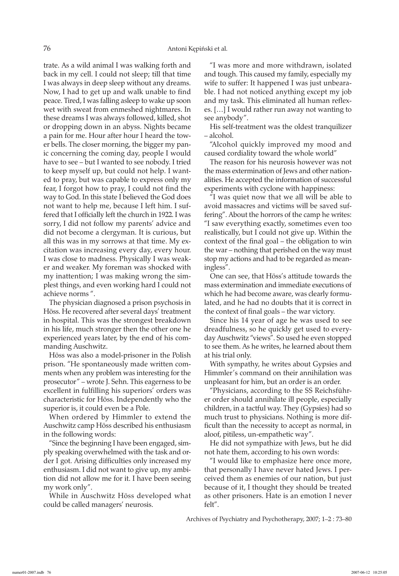trate. As a wild animal I was walking forth and back in my cell. I could not sleep; till that time I was always in deep sleep without any dreams. Now, I had to get up and walk unable to find peace. Tired, I was falling asleep to wake up soon wet with sweat from enmeshed nightmares. In these dreams I was always followed, killed, shot or dropping down in an abyss. Nights became a pain for me. Hour after hour I heard the tower bells. The closer morning, the bigger my panic concerning the coming day, people I would have to see – but I wanted to see nobody. I tried to keep myself up, but could not help. I wanted to pray, but was capable to express only my fear, I forgot how to pray, I could not find the way to God. In this state I believed the God does not want to help me, because I left him. I suffered that I officially left the church in 1922. I was sorry, I did not follow my parents' advice and did not become a clergyman. It is curious, but all this was in my sorrows at that time. My excitation was increasing every day, every hour. I was close to madness. Physically I was weaker and weaker. My foreman was shocked with my inattention; I was making wrong the simplest things, and even working hard I could not achieve norms ".

The physician diagnosed a prison psychosis in Höss. He recovered after several days' treatment in hospital. This was the strongest breakdown in his life, much stronger then the other one he experienced years later, by the end of his commanding Auschwitz.

Höss was also a model-prisoner in the Polish prison. "He spontaneously made written comments when any problem was interesting for the prosecutor" – wrote J. Sehn. This eagerness to be excellent in fulfilling his superiors' orders was characteristic for Höss. Independently who the superior is, it could even be a Pole.

When ordered by Himmler to extend the Auschwitz camp Höss described his enthusiasm in the following words:

"Since the beginning I have been engaged, simply speaking overwhelmed with the task and order I got. Arising difficulties only increased my enthusiasm. I did not want to give up, my ambition did not allow me for it. I have been seeing my work only".

While in Auschwitz Höss developed what could be called managers' neurosis.

"I was more and more withdrawn, isolated and tough. This caused my family, especially my wife to suffer: It happened I was just unbearable. I had not noticed anything except my job and my task. This eliminated all human reflexes. […] I would rather run away not wanting to see anybody".

His self-treatment was the oldest tranquilizer – alcohol.

"Alcohol quickly improved my mood and caused cordiality toward the whole world"

The reason for his neurosis however was not the mass extermination of Jews and other nationalities. He accepted the information of successful experiments with cyclone with happiness:

"I was quiet now that we all will be able to avoid massacres and victims will be saved suffering". About the horrors of the camp he writes: "I saw everything exactly, sometimes even too realistically, but I could not give up. Within the context of the final goal – the obligation to win the war – nothing that perished on the way must stop my actions and had to be regarded as meaningless".

One can see, that Höss's attitude towards the mass extermination and immediate executions of which he had become aware, was clearly formulated, and he had no doubts that it is correct in the context of final goals – the war victory.

Since his 14 year of age he was used to see dreadfulness, so he quickly get used to everyday Auschwitz "views". So used he even stopped to see them. As he writes, he learned about them at his trial only.

With sympathy, he writes about Gypsies and Himmler's command on their annihilation was unpleasant for him, but an order is an order.

"Physicians, according to the SS Reichsführer order should annihilate ill people, especially children, in a tactful way. They (Gypsies) had so much trust to physicians. Nothing is more difficult than the necessity to accept as normal, in aloof, pitiless, un-empathetic way".

He did not sympathize with Jews, but he did not hate them, according to his own words:

"I would like to emphasize here once more, that personally I have never hated Jews. I perceived them as enemies of our nation, but just because of it, I thought they should be treated as other prisoners. Hate is an emotion I never felt".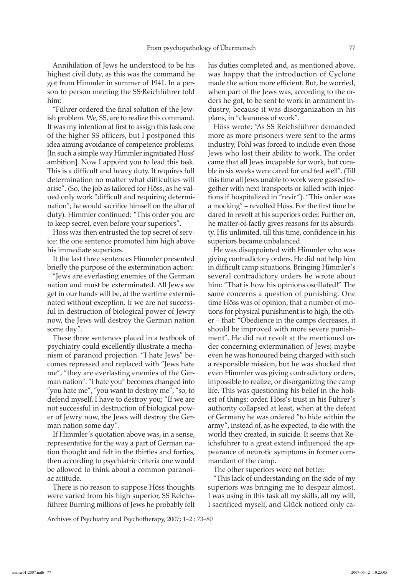Annihilation of Jews he understood to be his highest civil duty, as this was the command he got from Himmler in summer of 1941. In a person to person meeting the SS·Reichführer told him:

"Führer ordered the final solution of the Jewish problem. We, SS, are to realize this command. It was my intention at first to assign this task one of the higher SS officers, but I postponed this idea aiming avoidance of competence problems. [In such a simple way Himmler ingratiated Höss' ambition]. Now I appoint you to lead this task. This is a difficult and heavy duty. It requires full determination no matter what difficulties will arise". (So, the job as tailored for Höss, as he valued only work "difficult and requiring determination"; he would sacrifice himself on the altar of duty). Himmler continued: "This order you are to keep secret, even before your superiors".

Höss was then entrusted the top secret of service: the one sentence promoted him high above his immediate superiors.

It the last three sentences Himmler presented briefly the purpose of the extermination action:

"Jews are everlasting enemies of the German nation and must be exterminated. All Jews we get in our hands will be, at the wartime exterminated without exception. If we are not successful in destruction of biological power of Jewry now, the Jews will destroy the German nation some day".

These three sentences placed in a textbook of psychiatry could excellently illustrate a mechanism of paranoid projection. "I hate Jews" becomes repressed and replaced with "Jews hate me", "they are everlasting enemies of the German nation". "I hate you" becomes changed into "you hate me", "you want to destroy me", "so, to defend myself, I have to destroy you; "If we are not successful in destruction of biological power of Jewry now, the Jews will destroy the German nation some day".

If Himmler's quotation above was, in a sense, representative for the way a part of German nation thought and felt in the thirties and forties, then according to psychiatric criteria one would be allowed to think about a common paranoiac attitude.

There is no reason to suppose Höss thoughts were varied from his high superior, SS Reichsführer. Burning millions of Jews he probably felt

Archives of Psychiatry and Psychotherapy, 2007; 1–2 : 73–80

his duties completed and, as mentioned above, was happy that the introduction of Cyclone made the action more efficient. But, he worried, when part of the Jews was, according to the orders he got, to be sent to work in armament industry, because it was disorganization in his plans, in "cleanness of work".

Höss wrote: "As SS Reichsführer demanded more as more prisoners were sent to the arms industry, Pohl was forced to include even those Jews who lost their ability to work. The order came that all Jews incapable for work, but curable in six weeks were cared for and fed well". (Till this time all Jews unable to work were gassed together with next transports or killed with injections if hospitalized in "revir"). "This order was a mocking" – revolted Höss. For the first time he dared to revolt at his superiors order. Further on, he matter-of-factly gives reasons for its absurdity. His unlimited, till this time, confidence in his superiors became unbalanced.

He was disappointed with Himmler who was giving contradictory orders. He did not help him in difficult camp situations. Bringing Himmler's several contradictory orders he wrote about him: "That is how his opinions oscillated!" The same concerns a question of punishing. One time Höss was of opinion, that a number of motions for physical punishment is to high, the other – that: "Obedience in the camps decreases, it should be improved with more severe punishment". He did not revolt at the mentioned order concerning extermination of Jews; maybe even he was honoured being charged with such a responsible mission, but he was shocked that even Himmler was giving contradictory orders, impossible to realize, or disorganizing the camp life. This was questioning his belief in the holiest of things: order. Höss's trust in his Führer's authority collapsed at least, when at the defeat of Germany he was ordered "to hide within the army", instead of, as he expected, to die with the world they created, in suicide. It seems that Reichsführer to a great extend influenced the appearance of neurotic symptoms in former commandant of the camp.

The other superiors were not better.

"This lack of understanding on the side of my superiors was bringing me to despair almost. I was using in this task all my skills, all my will, I sacrificed myself, and Glück noticed only ca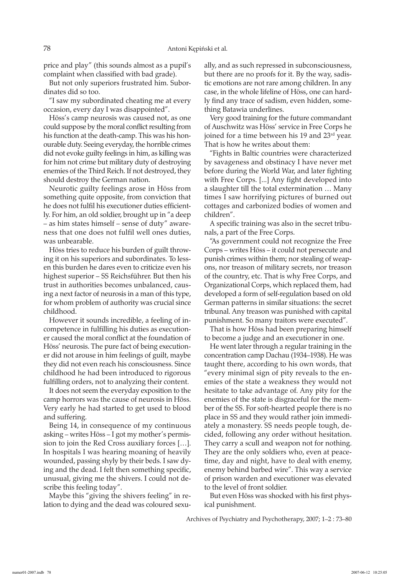price and play" (this sounds almost as a pupil's complaint when classified with bad grade).

But not only superiors frustrated him. Subordinates did so too.

"I saw my subordinated cheating me at every occasion, every day I was disappointed".

Höss's camp neurosis was caused not, as one could suppose by the moral conflict resulting from his function at the death-camp. This was his honourable duty. Seeing everyday, the horrible crimes did not evoke guilty feelings in him, as killing was for him not crime but military duty of destroying enemies of the Third Reich. If not destroyed, they should destroy the German nation.

Neurotic guilty feelings arose in Höss from something quite opposite, from conviction that he does not fulfil his executioner duties efficiently. For him, an old soldier, brought up in "a deep – as him states himself – sense of duty" awareness that one does not fulfil well ones duties, was unbearable.

Höss tries to reduce his burden of guilt throwing it on his superiors and subordinates. To lessen this burden he dares even to criticize even his highest superior – SS Reichsführer. But then his trust in authorities becomes unbalanced, causing a next factor of neurosis in a man of this type, for whom problem of authority was crucial since childhood.

However it sounds incredible, a feeling of incompetence in fulfilling his duties as executioner caused the moral conflict at the foundation of Höss' neurosis. The pure fact of being executioner did not arouse in him feelings of guilt, maybe they did not even reach his consciousness. Since childhood he had been introduced to rigorous fulfilling orders, not to analyzing their content.

It does not seem the everyday exposition to the camp horrors was the cause of neurosis in Höss. Very early he had started to get used to blood and suffering.

Being 14, in consequence of my continuous asking – writes Höss – I got my mother's permission to join the Red Cross auxiliary forces […]. In hospitals I was hearing moaning of heavily wounded, passing shyly by their beds. I saw dying and the dead. I felt then something specific, unusual, giving me the shivers. I could not describe this feeling today".

Maybe this "giving the shivers feeling" in relation to dying and the dead was coloured sexually, and as such repressed in subconsciousness, but there are no proofs for it. By the way, sadistic emotions are not rare among children. In any case, in the whole lifeline of Höss, one can hardly find any trace of sadism, even hidden, something Batawia underlines.

Very good training for the future commandant of Auschwitz was Höss' service in Free Corps he joined for a time between his 19 and 23<sup>rd</sup> year. That is how he writes about them:

"Fights in Baltic countries were characterized by savageness and obstinacy I have never met before during the World War, and later fighting with Free Corps. [...] Any fight developed into a slaughter till the total extermination … Many times I saw horrifying pictures of burned out cottages and carbonized bodies of women and children".

A specific training was also in the secret tribunals, a part of the Free Corps.

"As government could not recognize the Free Corps – writes Höss – it could not persecute and punish crimes within them; nor stealing of weapons, nor treason of military secrets, nor treason of the country, etc. That is why Free Corps, and Organizational Corps, which replaced them, had developed a form of self-regulation based on old German patterns in similar situations: the secret tribunal. Any treason was punished with capital punishment. So many traitors were executed".

That is how Höss had been preparing himself to become a judge and an executioner in one.

He went later through a regular training in the concentration camp Dachau (1934–1938). He was taught there, according to his own words, that "every minimal sign of pity reveals to the enemies of the state a weakness they would not hesitate to take advantage of. Any pity for the enemies of the state is disgraceful for the member of the SS. For soft-hearted people there is no place in SS and they would rather join immediately a monastery. SS needs people tough, decided, following any order without hesitation. They carry a scull and weapon not for nothing. They are the only soldiers who, even at peacetime, day and night, have to deal with enemy, enemy behind barbed wire". This way a service of prison warden and executioner was elevated to the level of front soldier.

But even Höss was shocked with his first physical punishment.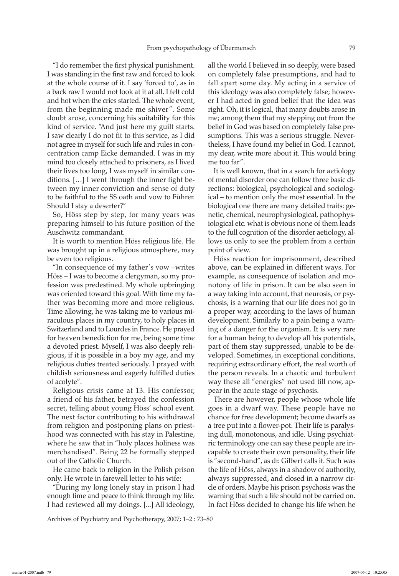"I do remember the first physical punishment. I was standing in the first raw and forced to look at the whole course of it. I say 'forced to', as in a back raw I would not look at it at all. I felt cold and hot when the cries started. The whole event, from the beginning made me shiver ". Some doubt arose, concerning his suitability for this kind of service. "And just here my guilt starts. I saw clearly I do not fit to this service, as I did not agree in myself for such life and rules in concentration camp Eicke demanded. I was in my mind too closely attached to prisoners, as I lived their lives too long, I was myself in similar conditions. […] I went through the inner fight between my inner conviction and sense of duty to be faithful to the SS oath and vow to Führer. Should I stay a deserter?"

So, Höss step by step, for many years was preparing himself to his future position of the Auschwitz commandant.

It is worth to mention Höss religious life. He was brought up in a religious atmosphere, may be even too religious.

"In consequence of my father's vow –writes Höss – I was to become a clergyman, so my profession was predestined. My whole upbringing was oriented toward this goal. With time my father was becoming more and more religious. Time allowing, he was taking me to various miraculous places in my country, to holy places in Switzerland and to Lourdes in France. He prayed for heaven benediction for me, being some time a devoted priest. Myself, I was also deeply religious, if it is possible in a boy my age, and my religious duties treated seriously. I prayed with childish seriousness and eagerly fulfilled duties of acolyte".

Religious crisis came at 13. His confessor, a friend of his father, betrayed the confession secret, telling about young Höss' school event. The next factor contributing to his withdrawal from religion and postponing plans on priesthood was connected with his stay in Palestine, where he saw that in "holy places holiness was merchandised". Being 22 he formally stepped out of the Catholic Church.

He came back to religion in the Polish prison only. He wrote in farewell letter to his wife:

"During my long lonely stay in prison I had enough time and peace to think through my life. I had reviewed all my doings. [...] All ideology, all the world I believed in so deeply, were based on completely false presumptions, and had to fall apart some day. My acting in a service of this ideology was also completely false; however I had acted in good belief that the idea was right. Oh, it is logical, that many doubts arose in me; among them that my stepping out from the belief in God was based on completely false presumptions. This was a serious struggle. Nevertheless, I have found my belief in God. I cannot, my dear, write more about it. This would bring me too far".

It is well known, that in a search for aetiology of mental disorder one can follow three basic directions: biological, psychological and sociological – to mention only the most essential. In the biological one there are many detailed traits: genetic, chemical, neurophysiological, pathophysiological etc. what is obvious none of them leads to the full cognition of the disorder aetiology, allows us only to see the problem from a certain point of view.

Höss reaction for imprisonment, described above, can be explained in different ways. For example, as consequence of isolation and monotony of life in prison. It can be also seen in a way taking into account, that neurosis, or psychosis, is a warning that our life does not go in a proper way, according to the laws of human development. Similarly to a pain being a warning of a danger for the organism. It is very rare for a human being to develop all his potentials, part of them stay suppressed, unable to be developed. Sometimes, in exceptional conditions, requiring extraordinary effort, the real worth of the person reveals. In a chaotic and turbulent way these all "energies" not used till now, appear in the acute stage of psychosis.

There are however, people whose whole life goes in a dwarf way. These people have no chance for free development; become dwarfs as a tree put into a flower-pot. Their life is paralysing dull, monotonous, and idle. Using psychiatric terminology one can say these people are incapable to create their own personality, their life is "second-hand", as dr. Gilbert calls it. Such was the life of Höss, always in a shadow of authority, always suppressed, and closed in a narrow circle of orders. Maybe his prison psychosis was the warning that such a life should not be carried on. In fact Höss decided to change his life when he